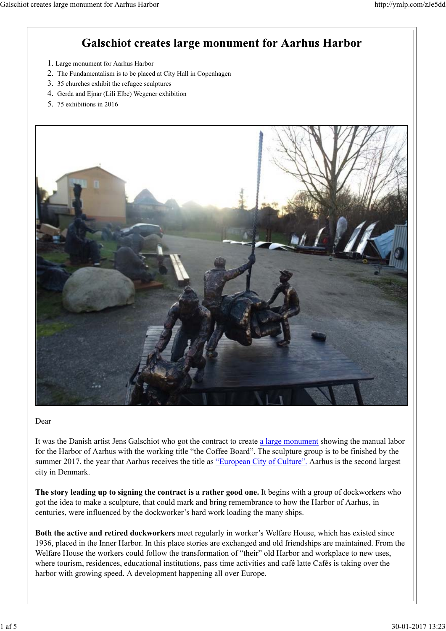### **Galschiot creates large monument for Aarhus Harbor**

- 1. Large monument for Aarhus Harbor
- 2. The Fundamentalism is to be placed at City Hall in Copenhagen
- 3. 35 churches exhibit the refugee sculptures
- 4. Gerda and Ejnar (Lili Elbe) Wegener exhibition
- 5. 75 exhibitions in 2016



#### Dear

It was the Danish artist Jens Galschiot who got the contract to create a large monument showing the manual labor for the Harbor of Aarhus with the working title "the Coffee Board". The sculpture group is to be finished by the summer 2017, the year that Aarhus receives the title as "European City of Culture". Aarhus is the second largest city in Denmark.

**The story leading up to signing the contract is a rather good one.** It begins with a group of dockworkers who got the idea to make a sculpture, that could mark and bring remembrance to how the Harbor of Aarhus, in centuries, were influenced by the dockworker's hard work loading the many ships.

**Both the active and retired dockworkers** meet regularly in worker's Welfare House, which has existed since 1936, placed in the Inner Harbor. In this place stories are exchanged and old friendships are maintained. From the Welfare House the workers could follow the transformation of "their" old Harbor and workplace to new uses, where tourism, residences, educational institutions, pass time activities and café latte Cafés is taking over the harbor with growing speed. A development happening all over Europe.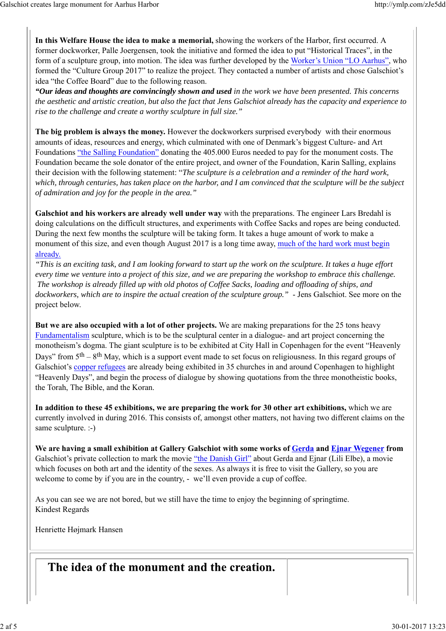**In this Welfare House the idea to make a memorial,** showing the workers of the Harbor, first occurred. A former dockworker, Palle Joergensen, took the initiative and formed the idea to put "Historical Traces", in the form of a sculpture group, into motion. The idea was further developed by the Worker's Union "LO Aarhus", who formed the "Culture Group 2017" to realize the project. They contacted a number of artists and chose Galschiot's idea "the Coffee Board" due to the following reason.

*"Our ideas and thoughts are convincingly shown and used in the work we have been presented. This concerns the aesthetic and artistic creation, but also the fact that Jens Galschiot already has the capacity and experience to rise to the challenge and create a worthy sculpture in full size."*

**The big problem is always the money.** However the dockworkers surprised everybody with their enormous amounts of ideas, resources and energy, which culminated with one of Denmark's biggest Culture- and Art Foundations "the Salling Foundation" donating the 405.000 Euros needed to pay for the monument costs. The Foundation became the sole donator of the entire project, and owner of the Foundation, Karin Salling, explains their decision with the following statement: "*The sculpture is a celebration and a reminder of the hard work, which, through centuries, has taken place on the harbor, and I am convinced that the sculpture will be the subject of admiration and joy for the people in the area."*

**Galschiot and his workers are already well under way** with the preparations. The engineer Lars Bredahl is doing calculations on the difficult structures, and experiments with Coffee Sacks and ropes are being conducted. During the next few months the sculpture will be taking form. It takes a huge amount of work to make a monument of this size, and even though August 2017 is a long time away, much of the hard work must begin already.

*"This is an exciting task, and I am looking forward to start up the work on the sculpture. It takes a huge effort every time we venture into a project of this size, and we are preparing the workshop to embrace this challenge. The workshop is already filled up with old photos of Coffee Sacks, loading and offloading of ships, and dockworkers, which are to inspire the actual creation of the sculpture group."* - Jens Galschiot. See more on the project below.

**But we are also occupied with a lot of other projects.** We are making preparations for the 25 tons heavy Fundamentalism sculpture, which is to be the sculptural center in a dialogue- and art project concerning the monotheism's dogma. The giant sculpture is to be exhibited at City Hall in Copenhagen for the event "Heavenly Days" from  $5<sup>th</sup> - 8<sup>th</sup>$  May, which is a support event made to set focus on religiousness. In this regard groups of Galschiot's copper refugees are already being exhibited in 35 churches in and around Copenhagen to highlight "Heavenly Days", and begin the process of dialogue by showing quotations from the three monotheistic books, the Torah, The Bible, and the Koran.

**In addition to these 45 exhibitions, we are preparing the work for 30 other art exhibitions,** which we are currently involved in during 2016. This consists of, amongst other matters, not having two different claims on the same sculpture. :-)

We are having a small exhibition at Gallery Galschiot with some works of **Gerda** and *Ejnar Wegener* from Galschiot's private collection to mark the movie "the Danish Girl" about Gerda and Ejnar (Lili Elbe), a movie which focuses on both art and the identity of the sexes. As always it is free to visit the Gallery, so you are welcome to come by if you are in the country, - we'll even provide a cup of coffee.

As you can see we are not bored, but we still have the time to enjoy the beginning of springtime. Kindest Regards

Henriette Højmark Hansen

The idea of the monument and the creation.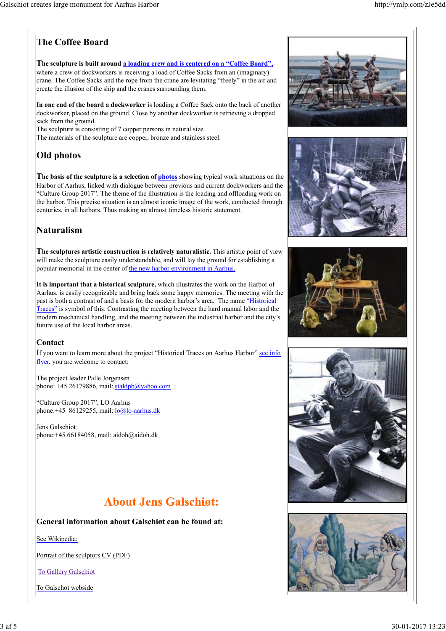## **The Coffee Board**

#### **The sculpture is built around a loading crew and is centered on a "Coffee Board",**

where a crew of dockworkers is receiving a load of Coffee Sacks from an (imaginary) crane. The Coffee Sacks and the rope from the crane are levitating "freely" in the air and create the illusion of the ship and the cranes surrounding them.

**In one end of the board a dockworker** is loading a Coffee Sack onto the back of another dockworker, placed on the ground. Close by another dockworker is retrieving a dropped sack from the ground.

The sculpture is consisting of 7 copper persons in natural size. The materials of the sculpture are copper, bronze and stainless steel.

## **Old photos**

**The basis of the sculpture is a selection of photos** showing typical work situations on the Harbor of Aarhus, linked with dialogue between previous and current dockworkers and the "Culture Group 2017". The theme of the illustration is the loading and offloading work on the harbor. This precise situation is an almost iconic image of the work, conducted through centuries, in all harbors. Thus making an almost timeless historic statement.

### **Naturalism**

**The sculptures artistic construction is relatively naturalistic.** This artistic point of view will make the sculpture easily understandable, and will lay the ground for establishing a popular memorial in the center of the new harbor environment in Aarhus.

**It is important that a historical sculpture,** which illustrates the work on the Harbor of Aarhus, is easily recognizable and bring back some happy memories. The meeting with the past is both a contrast of and a basis for the modern harbor's area. The name "Historical Traces" is symbol of this. Contrasting the meeting between the hard manual labor and the modern mechanical handling, and the meeting between the industrial harbor and the city's future use of the local harbor areas.

#### **Contact**

If you want to learn more about the project "Historical Traces on Aarhus Harbor" see info flyer, you are welcome to contact:

The project leader Palle Jorgensen phone: +45 26179886, mail: staldpb@yahoo.com

"Culture Group 2017", LO Aarhus phone: +45 86129255, mail:  $\log \log \alpha$ -aarhus.dk

Jens Galschiot phone:+45 66184058, mail: aidoh@aidoh.dk

## **About Jens Galschigt:**

#### **General information about Galschiøt can be found at:**

See Wikipedia:

Portrait of the sculptors CV (PDF)

To Gallery Galschiot

To Galschot webside









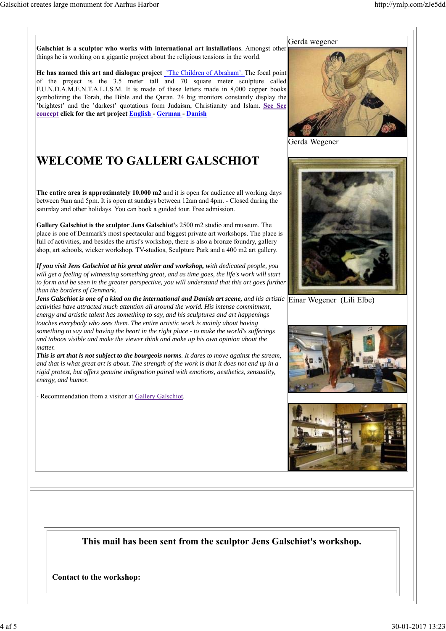**Galschiøt is a sculptor who works with international art installations**. Amongst other things he is working on a gigantic project about the religious tensions in the world.

**He has named this art and dialogue project** 'The Children of Abraham'. The focal point of the project is the 3.5 meter tall and 70 square meter sculpture called F.U.N.D.A.M.E.N.T.A.L.I.S.M. It is made of these letters made in 8,000 copper books symbolizing the Torah, the Bible and the Quran. 24 big monitors constantly display the 'brightest' and the 'darkest' quotations form Judaism, Christianity and Islam. **See See concept click for the art project English - German - Danish**

## WELCOME TO GALLERI GALSCHIOT

**The entire area is approximately 10.000 m2** and it is open for audience all working days between 9am and 5pm. It is open at sundays between 12am and 4pm. - Closed during the saturday and other holidays. You can book a guided tour. Free admission.

**Gallery Galschiot is the sculptor Jens Galschiot'**s 2500 m2 studio and museum. The place is one of Denmark's most spectacular and biggest private art workshops. The place is full of activities, and besides the artist's workshop, there is also a bronze foundry, gallery shop, art schools, wicker workshop, TV-studios, Sculpture Park and a 400 m2 art gallery.

*If you visit Jens Galschiot at his great atelier and workshop, with dedicated people, you will get a feeling of witnessing something great, and as time goes, the life's work will start to form and be seen in the greater perspective, you will understand that this art goes further than the borders of Denmark.*

*Jens Galschiot is one of a kind on the international and Danish art scene, and his artistic* Einar Wegener (Lili Elbe) *activities have attracted much attention all around the world. His intense commitment, energy and artistic talent has something to say, and his sculptures and art happenings touches everybody who sees them. The entire artistic work is mainly about having something to say and having the heart in the right place - to make the world's sufferings and taboos visible and make the viewer think and make up his own opinion about the matter.*

*This is art that is not subject to the bourgeois norms. It dares to move against the stream, and that is what great art is about. The strength of the work is that it does not end up in a rigid protest, but offers genuine indignation paired with emotions, aesthetics, sensuality, energy, and humor.*

Recommendation from a visitor at Gallery Galschiot.



Gerda Wegener







### **This mail has been sent from the sculptor Jens Galschiøt's workshop.**

**Contact to the workshop:**